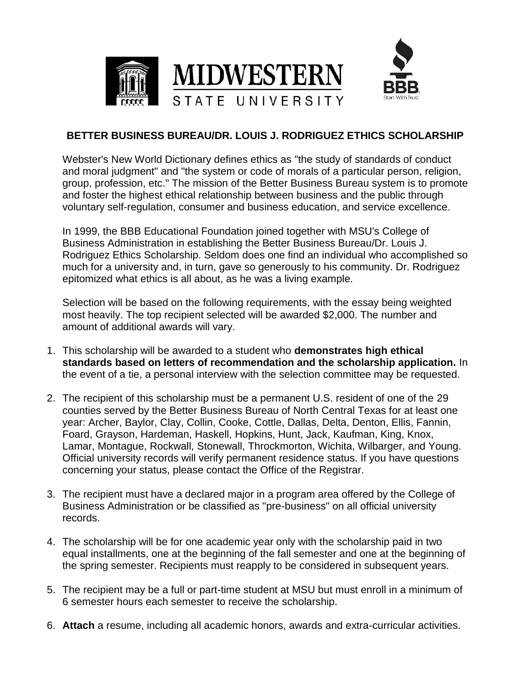

## **BETTER BUSINESS BUREAU/DR. LOUIS J. RODRIGUEZ ETHICS SCHOLARSHIP**

Webster's New World Dictionary defines ethics as "the study of standards of conduct and moral judgment" and "the system or code of morals of a particular person, religion, group, profession, etc." The mission of the Better Business Bureau system is to promote and foster the highest ethical relationship between business and the public through voluntary self-regulation, consumer and business education, and service excellence.

In 1999, the BBB Educational Foundation joined together with MSU's College of Business Administration in establishing the Better Business Bureau/Dr. Louis J. Rodriguez Ethics Scholarship. Seldom does one find an individual who accomplished so much for a university and, in turn, gave so generously to his community. Dr. Rodriguez epitomized what ethics is all about, as he was a living example.

Selection will be based on the following requirements, with the essay being weighted most heavily. The top recipient selected will be awarded \$2,000. The number and amount of additional awards will vary.

- 1. This scholarship will be awarded to a student who **demonstrates high ethical standards based on letters of recommendation and the scholarship application.** In the event of a tie, a personal interview with the selection committee may be requested.
- 2. The recipient of this scholarship must be a permanent U.S. resident of one of the 29 counties served by the Better Business Bureau of North Central Texas for at least one year: Archer, Baylor, Clay, Collin, Cooke, Cottle, Dallas, Delta, Denton, Ellis, Fannin, Foard, Grayson, Hardeman, Haskell, Hopkins, Hunt, Jack, Kaufman, King, Knox, Lamar, Montague, Rockwall, Stonewall, Throckmorton, Wichita, Wilbarger, and Young. Official university records will verify permanent residence status. If you have questions concerning your status, please contact the Office of the Registrar.
- 3. The recipient must have a declared major in a program area offered by the College of Business Administration or be classified as "pre-business" on all official university records.
- 4. The scholarship will be for one academic year only with the scholarship paid in two equal installments, one at the beginning of the fall semester and one at the beginning of the spring semester. Recipients must reapply to be considered in subsequent years.
- 5. The recipient may be a full or part-time student at MSU but must enroll in a minimum of 6 semester hours each semester to receive the scholarship.
- 6. **Attach** a resume, including all academic honors, awards and extra-curricular activities.